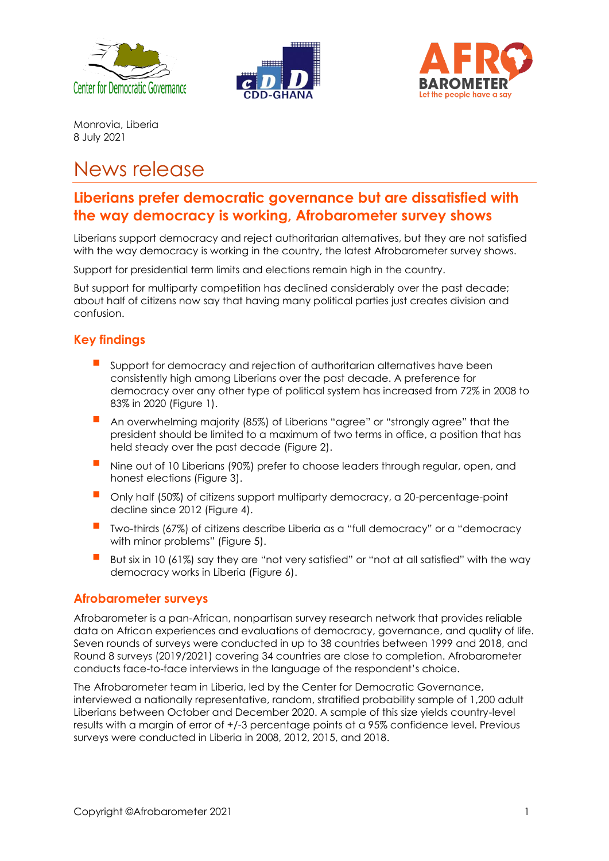





Monrovia, Liberia 8 July 2021

# News release

# **Liberians prefer democratic governance but are dissatisfied with the way democracy is working, Afrobarometer survey shows**

Liberians support democracy and reject authoritarian alternatives, but they are not satisfied with the way democracy is working in the country, the latest Afrobarometer survey shows.

Support for presidential term limits and elections remain high in the country.

But support for multiparty competition has declined considerably over the past decade; about half of citizens now say that having many political parties just creates division and confusion.

# **Key findings**

- Support for democracy and rejection of authoritarian alternatives have been consistently high among Liberians over the past decade. A preference for democracy over any other type of political system has increased from 72% in 2008 to 83% in 2020 (Figure 1).
- An overwhelming majority (85%) of Liberians "agree" or "strongly agree" that the president should be limited to a maximum of two terms in office, a position that has held steady over the past decade (Figure 2).
- Nine out of 10 Liberians (90%) prefer to choose leaders through regular, open, and honest elections (Figure 3).
- Only half (50%) of citizens support multiparty democracy, a 20-percentage-point decline since 2012 (Figure 4).
- Two-thirds (67%) of citizens describe Liberia as a "full democracy" or a "democracy with minor problems" (Figure 5).
- $\blacksquare$  But six in 10 (61%) say they are "not very satisfied" or "not at all satisfied" with the way democracy works in Liberia (Figure 6).

# **Afrobarometer surveys**

Afrobarometer is a pan-African, nonpartisan survey research network that provides reliable data on African experiences and evaluations of democracy, governance, and quality of life. Seven rounds of surveys were conducted in up to 38 countries between 1999 and 2018, and Round 8 surveys (2019/2021) covering 34 countries are close to completion. Afrobarometer conducts face-to-face interviews in the language of the respondent's choice.

The Afrobarometer team in Liberia, led by the Center for Democratic Governance, interviewed a nationally representative, random, stratified probability sample of 1,200 adult Liberians between October and December 2020. A sample of this size yields country-level results with a margin of error of +/-3 percentage points at a 95% confidence level. Previous surveys were conducted in Liberia in 2008, 2012, 2015, and 2018.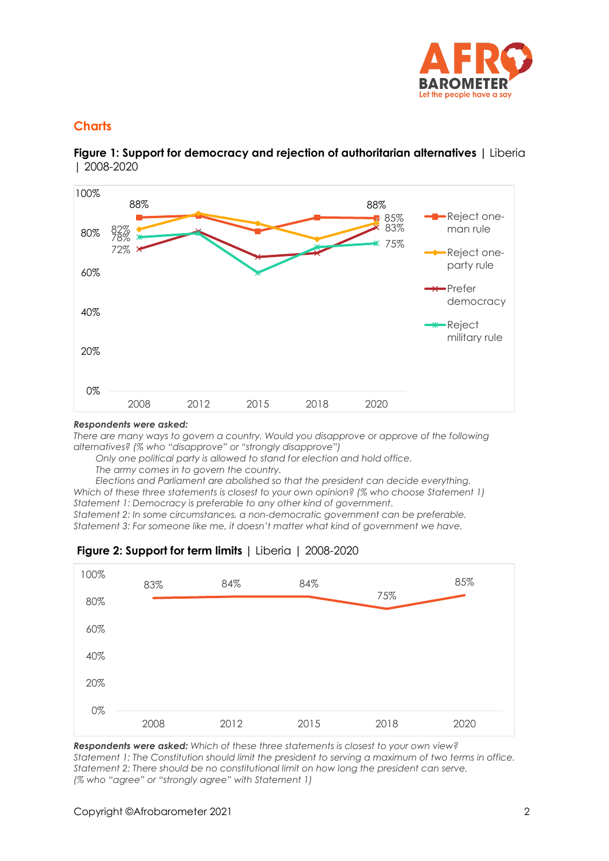

# **Charts**

**Figure 1: Support for democracy and rejection of authoritarian alternatives |** Liberia | 2008-2020



#### *Respondents were asked:*

*There are many ways to govern a country. Would you disapprove or approve of the following alternatives? (% who "disapprove" or "strongly disapprove")* 

*Only one political party is allowed to stand for election and hold office.*

*The army comes in to govern the country.*

*Elections and Parliament are abolished so that the president can decide everything. Which of these three statements is closest to your own opinion? (% who choose Statement 1) Statement 1: Democracy is preferable to any other kind of government.*

*Statement 2: In some circumstances, a non-democratic government can be preferable. Statement 3: For someone like me, it doesn't matter what kind of government we have.*



# **Figure 2: Support for term limits |** Liberia | 2008-2020

*Respondents were asked: Which of these three statements is closest to your own view? Statement 1: The Constitution should limit the president to serving a maximum of two terms in office. Statement 2: There should be no constitutional limit on how long the president can serve. (% who "agree" or "strongly agree" with Statement 1)*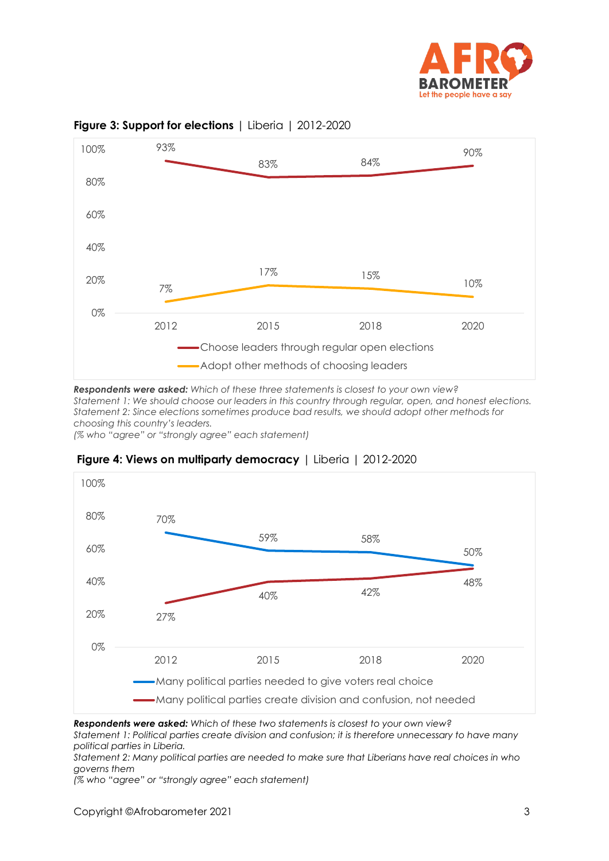



### **Figure 3: Support for elections** | Liberia | 2012-2020

*Respondents were asked: Which of these three statements is closest to your own view? Statement 1: We should choose our leaders in this country through regular, open, and honest elections. Statement 2: Since elections sometimes produce bad results, we should adopt other methods for choosing this country's leaders.*

*(% who "agree" or "strongly agree" each statement)*



## **Figure 4: Views on multiparty democracy** | Liberia | 2012-2020

*Respondents were asked: Which of these two statements is closest to your own view?* 

*Statement 1: Political parties create division and confusion; it is therefore unnecessary to have many political parties in Liberia.*

*Statement 2: Many political parties are needed to make sure that Liberians have real choices in who governs them* 

*(% who "agree" or "strongly agree" each statement)*